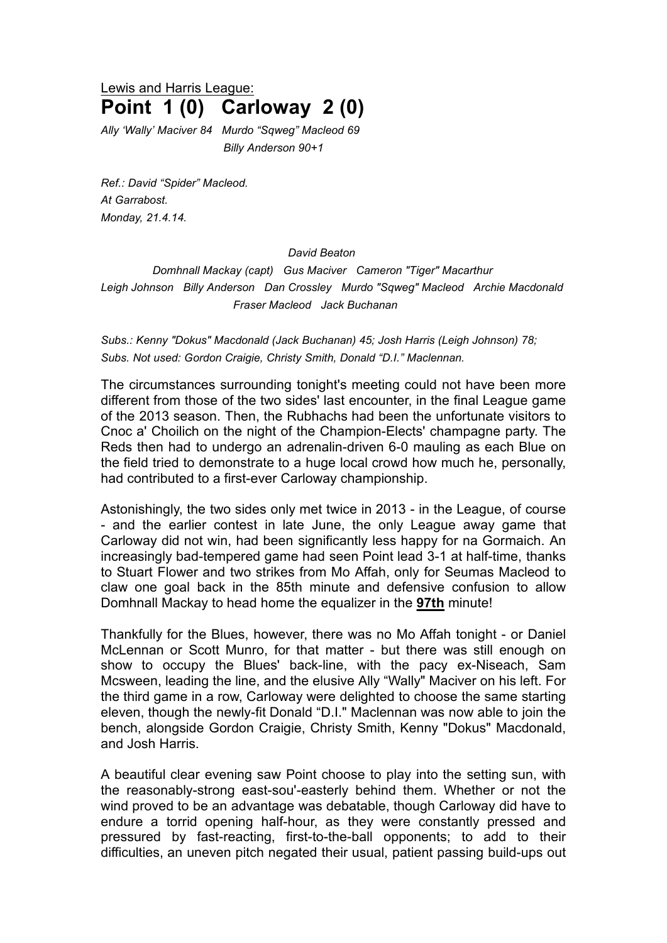Lewis and Harris League: **Point 1 (0) Carloway 2 (0)**

*Ally 'Wally' Maciver 84 Murdo "Sqweg" Macleod 69 Billy Anderson 90+1*

*Ref.: David "Spider" Macleod. At Garrabost. Monday, 21.4.14.*

## *David Beaton*

*Domhnall Mackay (capt) Gus Maciver Cameron "Tiger" Macarthur Leigh Johnson Billy Anderson Dan Crossley Murdo "Sqweg" Macleod Archie Macdonald Fraser Macleod Jack Buchanan*

*Subs.: Kenny "Dokus" Macdonald (Jack Buchanan) 45; Josh Harris (Leigh Johnson) 78; Subs. Not used: Gordon Craigie, Christy Smith, Donald "D.I." Maclennan.*

The circumstances surrounding tonight's meeting could not have been more different from those of the two sides' last encounter, in the final League game of the 2013 season. Then, the Rubhachs had been the unfortunate visitors to Cnoc a' Choilich on the night of the Champion-Elects' champagne party. The Reds then had to undergo an adrenalin-driven 6-0 mauling as each Blue on the field tried to demonstrate to a huge local crowd how much he, personally, had contributed to a first-ever Carloway championship.

Astonishingly, the two sides only met twice in 2013 - in the League, of course - and the earlier contest in late June, the only League away game that Carloway did not win, had been significantly less happy for na Gormaich. An increasingly bad-tempered game had seen Point lead 3-1 at half-time, thanks to Stuart Flower and two strikes from Mo Affah, only for Seumas Macleod to claw one goal back in the 85th minute and defensive confusion to allow Domhnall Mackay to head home the equalizer in the **97th** minute!

Thankfully for the Blues, however, there was no Mo Affah tonight - or Daniel McLennan or Scott Munro, for that matter - but there was still enough on show to occupy the Blues' back-line, with the pacy ex-Niseach, Sam Mcsween, leading the line, and the elusive Ally "Wally" Maciver on his left. For the third game in a row, Carloway were delighted to choose the same starting eleven, though the newly-fit Donald "D.I." Maclennan was now able to join the bench, alongside Gordon Craigie, Christy Smith, Kenny "Dokus" Macdonald, and Josh Harris.

A beautiful clear evening saw Point choose to play into the setting sun, with the reasonably-strong east-sou'-easterly behind them. Whether or not the wind proved to be an advantage was debatable, though Carloway did have to endure a torrid opening half-hour, as they were constantly pressed and pressured by fast-reacting, first-to-the-ball opponents; to add to their difficulties, an uneven pitch negated their usual, patient passing build-ups out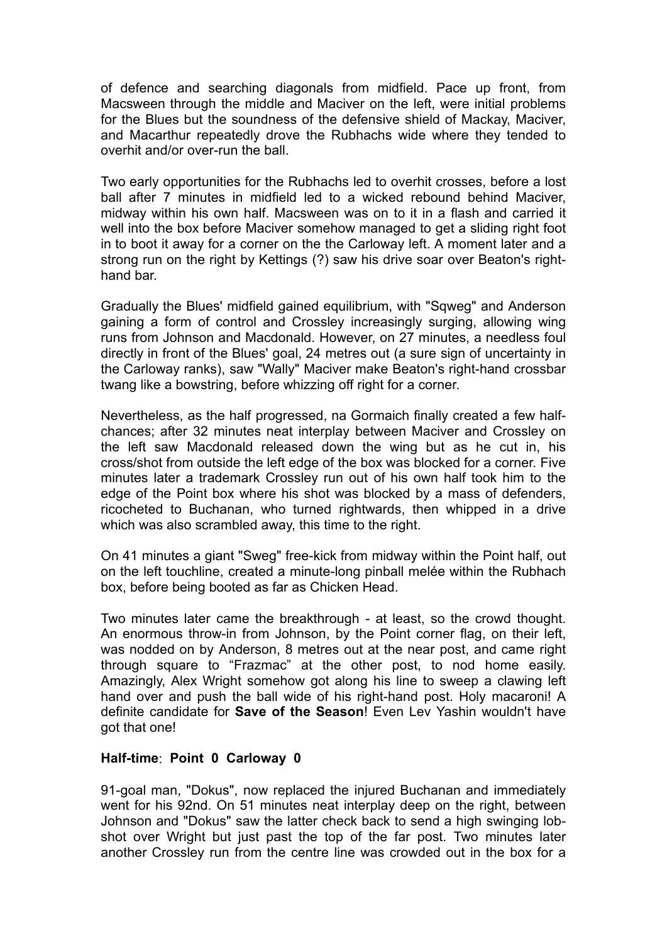of defence and searching diagonals from midfield. Pace up front, from Macsween through the middle and Maciver on the left, were initial problems for the Blues but the soundness of the defensive shield of Mackay, Maciver, and Macarthur repeatedly drove the Rubhachs wide where they tended to overhit and/or over-run the ball.

Two early opportunities for the Rubhachs led to overhit crosses, before a lost ball after 7 minutes in midfield led to a wicked rebound behind Maciver, midway within his own half. Macsween was on to it in a flash and carried it well into the box before Maciver somehow managed to get a sliding right foot in to boot it away for a corner on the the Carloway left. A moment later and a strong run on the right by Kettings (?) saw his drive soar over Beaton's righthand bar.

Gradually the Blues' midfield gained equilibrium, with "Sqweg" and Anderson gaining a form of control and Crossley increasingly surging, allowing wing runs from Johnson and Macdonald. However, on 27 minutes, a needless foul directly in front of the Blues' goal, 24 metres out (a sure sign of uncertainty in the Carloway ranks), saw "Wally" Maciver make Beaton's right-hand crossbar twang like a bowstring, before whizzing off right for a corner.

Nevertheless, as the half progressed, na Gormaich finally created a few halfchances; after 32 minutes neat interplay between Maciver and Crossley on the left saw Macdonald released down the wing but as he cut in, his cross/shot from outside the left edge of the box was blocked for a corner. Five minutes later a trademark Crossley run out of his own half took him to the edge of the Point box where his shot was blocked by a mass of defenders, ricocheted to Buchanan, who turned rightwards, then whipped in a drive which was also scrambled away, this time to the right.

On 41 minutes a giant "Sweg" free-kick from midway within the Point half, out on the left touchline, created a minute-long pinball melée within the Rubhach box, before being booted as far as Chicken Head.

Two minutes later came the breakthrough - at least, so the crowd thought. An enormous throw-in from Johnson, by the Point corner flag, on their left, was nodded on by Anderson, 8 metres out at the near post, and came right through square to "Frazmac" at the other post, to nod home easily. Amazingly, Alex Wright somehow got along his line to sweep a clawing left hand over and push the ball wide of his right-hand post. Holy macaroni! A definite candidate for **Save of the Season**! Even Lev Yashin wouldn't have got that one!

## **Half-time**: **Point 0 Carloway 0**

91-goal man, "Dokus", now replaced the injured Buchanan and immediately went for his 92nd. On 51 minutes neat interplay deep on the right, between Johnson and "Dokus" saw the latter check back to send a high swinging lobshot over Wright but just past the top of the far post. Two minutes later another Crossley run from the centre line was crowded out in the box for a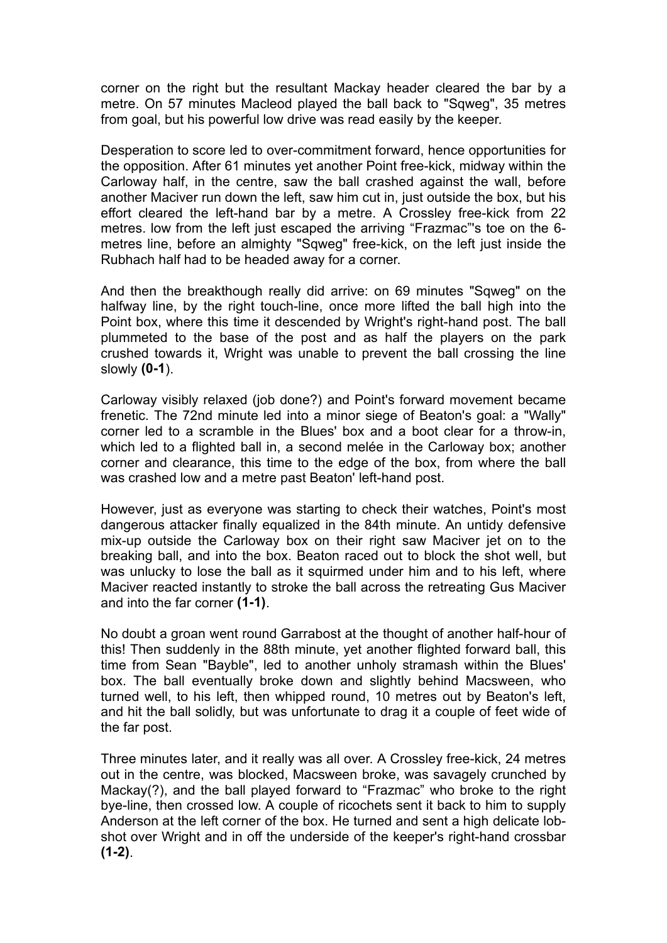corner on the right but the resultant Mackay header cleared the bar by a metre. On 57 minutes Macleod played the ball back to "Sqweg", 35 metres from goal, but his powerful low drive was read easily by the keeper.

Desperation to score led to over-commitment forward, hence opportunities for the opposition. After 61 minutes yet another Point free-kick, midway within the Carloway half, in the centre, saw the ball crashed against the wall, before another Maciver run down the left, saw him cut in, just outside the box, but his effort cleared the left-hand bar by a metre. A Crossley free-kick from 22 metres. low from the left just escaped the arriving "Frazmac"'s toe on the 6 metres line, before an almighty "Sqweg" free-kick, on the left just inside the Rubhach half had to be headed away for a corner.

And then the breakthough really did arrive: on 69 minutes "Sqweg" on the halfway line, by the right touch-line, once more lifted the ball high into the Point box, where this time it descended by Wright's right-hand post. The ball plummeted to the base of the post and as half the players on the park crushed towards it, Wright was unable to prevent the ball crossing the line slowly **(0-1**).

Carloway visibly relaxed (job done?) and Point's forward movement became frenetic. The 72nd minute led into a minor siege of Beaton's goal: a "Wally" corner led to a scramble in the Blues' box and a boot clear for a throw-in, which led to a flighted ball in, a second melée in the Carloway box; another corner and clearance, this time to the edge of the box, from where the ball was crashed low and a metre past Beaton' left-hand post.

However, just as everyone was starting to check their watches, Point's most dangerous attacker finally equalized in the 84th minute. An untidy defensive mix-up outside the Carloway box on their right saw Maciver jet on to the breaking ball, and into the box. Beaton raced out to block the shot well, but was unlucky to lose the ball as it squirmed under him and to his left, where Maciver reacted instantly to stroke the ball across the retreating Gus Maciver and into the far corner **(1-1)**.

No doubt a groan went round Garrabost at the thought of another half-hour of this! Then suddenly in the 88th minute, yet another flighted forward ball, this time from Sean "Bayble", led to another unholy stramash within the Blues' box. The ball eventually broke down and slightly behind Macsween, who turned well, to his left, then whipped round, 10 metres out by Beaton's left, and hit the ball solidly, but was unfortunate to drag it a couple of feet wide of the far post.

Three minutes later, and it really was all over. A Crossley free-kick, 24 metres out in the centre, was blocked, Macsween broke, was savagely crunched by Mackay(?), and the ball played forward to "Frazmac" who broke to the right bye-line, then crossed low. A couple of ricochets sent it back to him to supply Anderson at the left corner of the box. He turned and sent a high delicate lobshot over Wright and in off the underside of the keeper's right-hand crossbar **(1-2)**.